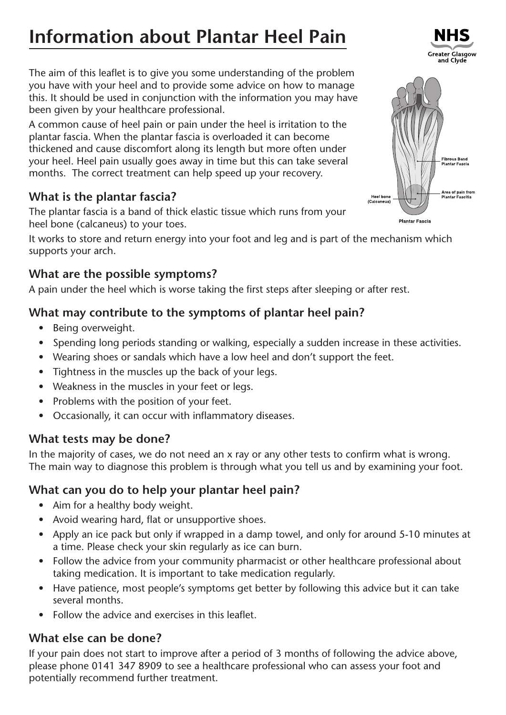# **Information about Plantar Heel Pain**

The aim of this leaflet is to give you some understanding of the problem you have with your heel and to provide some advice on how to manage this. It should be used in conjunction with the information you may have been given by your healthcare professional.

A common cause of heel pain or pain under the heel is irritation to the plantar fascia. When the plantar fascia is overloaded it can become thickened and cause discomfort along its length but more often under your heel. Heel pain usually goes away in time but this can take several months. The correct treatment can help speed up your recovery.

## **What is the plantar fascia?**

The plantar fascia is a band of thick elastic tissue which runs from your heel bone (calcaneus) to your toes.

It works to store and return energy into your foot and leg and is part of the mechanism which supports your arch.

#### **What are the possible symptoms?**

A pain under the heel which is worse taking the first steps after sleeping or after rest.

## **What may contribute to the symptoms of plantar heel pain?**

- Being overweight.
- Spending long periods standing or walking, especially a sudden increase in these activities.
- Wearing shoes or sandals which have a low heel and don't support the feet.
- Tightness in the muscles up the back of your legs.
- Weakness in the muscles in your feet or legs.
- Problems with the position of your feet.
- Occasionally, it can occur with inflammatory diseases.

#### **What tests may be done?**

In the majority of cases, we do not need an x ray or any other tests to confirm what is wrong. The main way to diagnose this problem is through what you tell us and by examining your foot.

#### **What can you do to help your plantar heel pain?**

- Aim for a healthy body weight.
- Avoid wearing hard, flat or unsupportive shoes.
- Apply an ice pack but only if wrapped in a damp towel, and only for around 5-10 minutes at a time. Please check your skin regularly as ice can burn.
- Follow the advice from your community pharmacist or other healthcare professional about taking medication. It is important to take medication regularly.
- Have patience, most people's symptoms get better by following this advice but it can take several months.
- Follow the advice and exercises in this leaflet.

#### **What else can be done?**

If your pain does not start to improve after a period of 3 months of following the advice above, please phone 0141 347 8909 to see a healthcare professional who can assess your foot and potentially recommend further treatment.